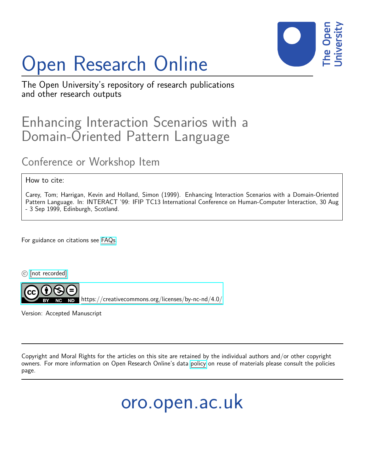

# Open Research Online

The Open University's repository of research publications and other research outputs

# Enhancing Interaction Scenarios with a Domain-Oriented Pattern Language

# Conference or Workshop Item

#### How to cite:

Carey, Tom; Harrigan, Kevin and Holland, Simon (1999). Enhancing Interaction Scenarios with a Domain-Oriented Pattern Language. In: INTERACT '99: IFIP TC13 International Conference on Human-Computer Interaction, 30 Aug - 3 Sep 1999, Edinburgh, Scotland.

For guidance on citations see [FAQs.](http://oro.open.ac.uk/help/helpfaq.html)

c [\[not recorded\]](http://oro.open.ac.uk/help/helpfaq.html#Unrecorded_information_on_coversheet)



<https://creativecommons.org/licenses/by-nc-nd/4.0/>

Version: Accepted Manuscript

Copyright and Moral Rights for the articles on this site are retained by the individual authors and/or other copyright owners. For more information on Open Research Online's data [policy](http://oro.open.ac.uk/policies.html) on reuse of materials please consult the policies page.

oro.open.ac.uk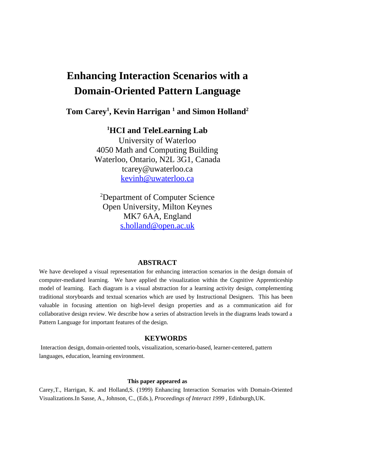## **Enhancing Interaction Scenarios with a Domain-Oriented Pattern Language**

#### **Tom Carey<sup>1</sup> , Kevin Harrigan <sup>1</sup> and Simon Holland<sup>2</sup>**

#### **<sup>1</sup>HCI and TeleLearning Lab**

University of Waterloo 4050 Math and Computing Building Waterloo, Ontario, N2L 3G1, Canada tcarey@uwaterloo.ca kevinh@uwaterloo.ca

<sup>2</sup>Department of Computer Science Open University, Milton Keynes MK7 6AA, England s.holland@open.ac.uk

#### **ABSTRACT**

We have developed a visual representation for enhancing interaction scenarios in the design domain of computer-mediated learning. We have applied the visualization within the Cognitive Apprenticeship model of learning. Each diagram is a visual abstraction for a learning activity design, complementing traditional storyboards and textual scenarios which are used by Instructional Designers. This has been valuable in focusing attention on high-level design properties and as a communication aid for collaborative design review. We describe how a series of abstraction levels in the diagrams leads toward a Pattern Language for important features of the design.

#### **KEYWORDS**

 Interaction design, domain-oriented tools, visualization, scenario-based, learner-centered, pattern languages, education, learning environment.

#### **This paper appeared as**

Carey,T., Harrigan, K. and Holland,S. (1999) Enhancing Interaction Scenarios with Domain-Oriented Visualizations.In Sasse, A., Johnson, C., (Eds.), *Proceedings of Interact 1999* , Edinburgh,UK.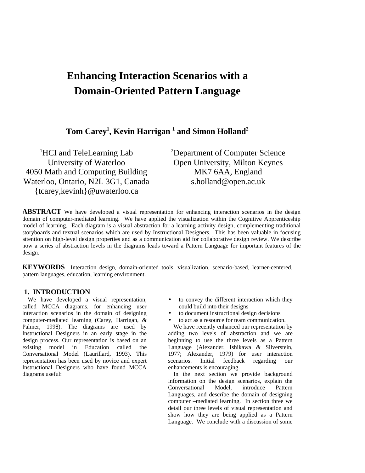## **Enhancing Interaction Scenarios with a Domain-Oriented Pattern Language**

**Tom Carey<sup>1</sup> , Kevin Harrigan <sup>1</sup> and Simon Holland<sup>2</sup>**

<sup>1</sup>HCI and TeleLearning Lab University of Waterloo 4050 Math and Computing Building Waterloo, Ontario, N2L 3G1, Canada {tcarey,kevinh}@uwaterloo.ca

<sup>2</sup>Department of Computer Science Open University, Milton Keynes MK7 6AA, England s.holland@open.ac.uk

**ABSTRACT** We have developed a visual representation for enhancing interaction scenarios in the design domain of computer-mediated learning. We have applied the visualization within the Cognitive Apprenticeship model of learning. Each diagram is a visual abstraction for a learning activity design, complementing traditional storyboards and textual scenarios which are used by Instructional Designers. This has been valuable in focusing attention on high-level design properties and as a communication aid for collaborative design review. We describe how a series of abstraction levels in the diagrams leads toward a Pattern Language for important features of the design.

**KEYWORDS** Interaction design, domain-oriented tools, visualization, scenario-based, learner-centered, pattern languages, education, learning environment.

#### **1. INTRODUCTION**

We have developed a visual representation, called MCCA diagrams, for enhancing user interaction scenarios in the domain of designing computer-mediated learning (Carey, Harrigan, & Palmer, 1998). The diagrams are used by Instructional Designers in an early stage in the design process. Our representation is based on an existing model in Education called the Conversational Model (Laurillard, 1993). This representation has been used by novice and expert Instructional Designers who have found MCCA diagrams useful:

- to convey the different interaction which they could build into their designs
- to document instructional design decisions
- to act as a resource for team communication.

We have recently enhanced our representation by adding two levels of abstraction and we are beginning to use the three levels as a Pattern Language (Alexander, Ishikawa & Silverstein, 1977; Alexander, 1979) for user interaction scenarios. Initial feedback regarding our enhancements is encouraging.

In the next section we provide background information on the design scenarios, explain the Conversational Model, introduce Pattern Languages, and describe the domain of designing computer –mediated learning. In section three we detail our three levels of visual representation and show how they are being applied as a Pattern Language. We conclude with a discussion of some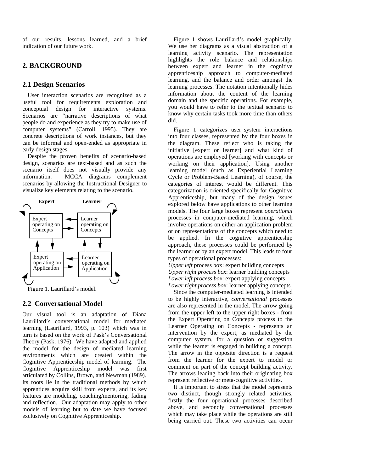of our results, lessons learned, and a brief indication of our future work.

#### **2. BACKGROUND**

#### **2.1 Design Scenarios**

User interaction scenarios are recognized as a useful tool for requirements exploration and conceptual design for interactive systems. Scenarios are "narrative descriptions of what people do and experience as they try to make use of computer systems" (Carroll, 1995). They are concrete descriptions of work instances, but they can be informal and open-ended as appropriate in early design stages.

Despite the proven benefits of scenario-based design, scenarios are text-based and as such the scenario itself does not visually provide any information. MCCA diagrams complement scenarios by allowing the Instructional Designer to visualize key elements relating to the scenario.



Figure 1. Laurillard's model.

#### **2.2 Conversational Model**

Our visual tool is an adaptation of Diana Laurillard's conversational model for mediated learning (Laurillard, 1993, p. 103) which was in turn is based on the work of Pask's Conversational Theory (Pask, 1976). We have adapted and applied the model for the design of mediated learning environments which are created within the Cognitive Apprenticeship model of learning. The Cognitive Apprenticeship model was first articulated by Collins, Brown, and Newman (1989). Its roots lie in the traditional methods by which apprentices acquire skill from experts, and its key features are modeling, coaching/mentoring, fading and reflection. Our adaptation may apply to other models of learning but to date we have focused exclusively on Cognitive Apprenticeship.

Figure 1 shows Laurillard's model graphically. We use her diagrams as a visual abstraction of a learning activity scenario. The representation highlights the role balance and relationships between expert and learner in the cognitive apprenticeship approach to computer-mediated learning, and the balance and order amongst the learning processes. The notation intentionally hides information about the content of the learning domain and the specific operations. For example, you would have to refer to the textual scenario to know why certain tasks took more time than others did.

Figure 1 categorizes user–system interactions into four classes, represented by the four boxes in the diagram. These reflect who is taking the initiative [expert or learner] and what kind of operations are employed [working with concepts or working on their application]. Using another learning model (such as Experiential Learning Cycle or Problem-Based Learning), of course, the categories of interest would be different. This categorization is oriented specifically for Cognitive Apprenticeship, but many of the design issues explored below have applications to other learning models. The four large boxes represent *operational* processes in computer-mediated learning, which involve operations on either an application problem or on representations of the concepts which need to be applied. In the cognitive apprenticeship approach, these processes could be performed by the learner or by an expert model. This leads to four types of operational processes:

*Upper left* process box: expert building concepts *Upper right process box*: learner building concepts *Lower left process box*: expert applying concepts *Lower right process box*: learner applying concepts

Since the computer-mediated learning is intended to be highly interactive, *conversational* processes are also represented in the model. The arrow going from the upper left to the upper right boxes - from the Expert Operating on Concepts process to the Learner Operating on Concepts - represents an intervention by the expert, as mediated by the computer system, for a question or suggestion while the learner is engaged in building a concept. The arrow in the opposite direction is a request from the learner for the expert to model or comment on part of the concept building activity. The arrows leading back into their originating box represent reflective or meta-cognitive activities.

It is important to stress that the model represents two distinct, though strongly related activities, firstly the four operational processes described above, and secondly conversational processes which may take place while the operations are still being carried out. These two activities can occur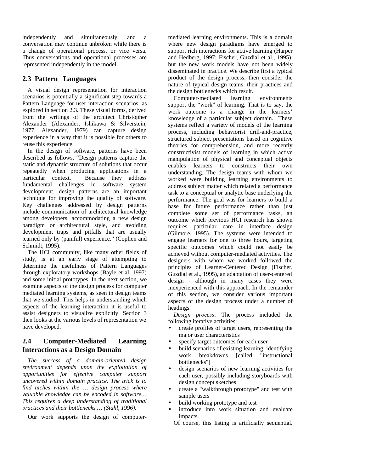independently and simultaneously, and a conversation may continue unbroken while there is a change of operational process, or vice versa. Thus conversations and operational processes are represented independently in the model.

#### **2.3 Pattern Languages**

A visual design representation for interaction scenarios is potentially a significant step towards a Pattern Language for user interaction scenarios, as explored in section 2.3. These visual forms, derived from the writings of the architect Christopher Alexander (Alexander, Ishikawa & Silverstein, 1977; Alexander, 1979) can capture design experience in a way that it is possible for others to reuse this experience.

In the design of software, patterns have been described as follows. "Design patterns capture the static and dynamic structure of solutions that occur repeatedly when producing applications in a particular context. Because they address fundamental challenges in software system development, design patterns are an important technique for improving the quality of software. Key challenges addressed by design patterns include communication of architectural knowledge among developers, accommodating a new design paradigm or architectural style, and avoiding development traps and pitfalls that are usually learned only by (painful) experience." (Coplien and Schmidt, 1995).

The HCI community, like many other fields of study, is at an early stage of attempting to determine the usefulness of Pattern Languages through exploratory workshops (Bayle et al, 1997) and some initial prototypes. In the next section, we examine aspects of the design process for computer mediated learning systems, as seen in design teams that we studied. This helps in understanding which aspects of the learning interaction it is useful to assist designers to visualize explicitly. Section 3 then looks at the various levels of representation we have developed.

#### **2.4 Computer-Mediated Learning Interactions as a Design Domain**

*The success of a domain-oriented design environment depends upon the exploitation of opportunities for effective computer support uncovered within domain practice. The trick is to find niches within the … design process where valuable knowledge can be encoded in software… This requires a deep understanding of traditional practices and their bottlenecks … (Stahl, 1996).*

Our work supports the design of computer-

mediated learning environments. This is a domain where new design paradigms have emerged to support rich interactions for active learning (Harper and Hedberg, 1997; Fischer, Guzdial et al., 1995), but the new work models have not been widely disseminated in practice. We describe first a typical product of the design process, then consider the nature of typical design teams, their practices and

the design bottlenecks which result.<br>Computer-mediated learning Computer-mediated learning environments support the "work" of learning. That is to say, the work outcome is a change in the learners' knowledge of a particular subject domain. These systems reflect a variety of models of the learning process, including behaviorist drill-and-practice, structured subject presentations based on cognitive theories for comprehension, and more recently constructivist models of learning in which active manipulation of physical and conceptual objects enables learners to constructs their own understanding*.* The design teams with whom we worked were building learning environments to address subject matter which related a performance task to a conceptual or analytic base underlying the performance. The goal was for learners to build a base for future performance rather than just complete some set of performance tasks, an outcome which previous HCI research has shown requires particular care in interface design (Gilmore, 1995). The systems were intended to engage learners for one to three hours, targeting specific outcomes which could not easily be achieved without computer-mediated activities. The designers with whom we worked followed the principles of Learner-Centered Design (Fischer, Guzdial et al., 1995), an adaptation of user-centered design - although in many cases they were inexperienced with this approach. In the remainder of this section, we consider various important aspects of the design process under a number of headings.

*Design process*: The process included the following iterative activities:

- create profiles of target users, representing the major user characteristics
- specify target outcomes for each user
- build scenarios of existing learning, identifying work breakdowns [called "instructional bottlenecks"]
- design scenarios of new learning activities for each user, possibly including storyboards with design concept sketches
- create a "walkthrough prototype" and test with sample users
- build working prototype and test
- introduce into work situation and evaluate impacts.
	- Of course, this listing is artificially sequential.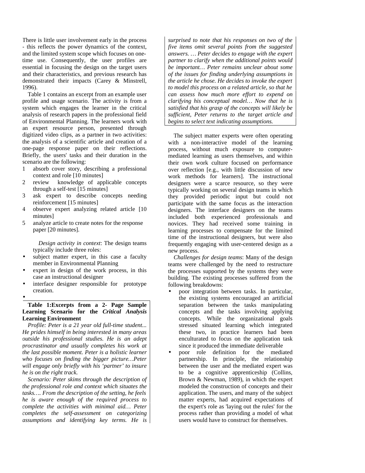There is little user involvement early in the process - this reflects the power dynamics of the context, and the limited system scope which focuses on onetime use. Consequently, the user profiles are essential in focusing the design on the target users and their characteristics, and previous research has demonstrated their impacts (Carey & Minstrell, 1996).

Table 1 contains an excerpt from an example user profile and usage scenario. The activity is from a system which engages the learner in the critical analysis of research papers in the professional field of Environmental Planning. The learners work with an expert resource person, presented through digitized video clips, as a partner in two activities: the analysis of a scientific article and creation of a one-page response paper on their reflections. Briefly, the users' tasks and their duration in the scenario are the following:

- 1 absorb cover story, describing a professional context and role [10 minutes]
- 2 review knowledge of applicable concepts through a self-test [15 minutes]
- 3 ask expert to describe concepts needing reinforcement [15 minutes]
- 4 observe expert analyzing related article [10 minutes]
- 5 analyze article to create notes for the response paper [20 minutes].

*Design activity in context*: The design teams typically include three roles:

- subject matter expert, in this case a faculty member in Environmental Planning
- expert in design of the work process, in this case an instructional designer
- interface designer responsible for prototype creation.

•

#### **Table 1:Excerpts from a 2- Page Sample Learning Scenario for the** *Critical Analysis* **Learning Environment**

*Profile: Peter is a 21 year old full-time student... He prides himself in being interested in many areas outside his professional studies. He is an adept procrastinator and usually completes his work at the last possible moment. Peter is a holistic learner who focuses on finding the bigger picture…Peter will engage only briefly with his 'partner' to insure he is on the right track.*

*Scenario: Peter skims through the description of the professional role and context which situates the tasks…. From the description of the setting, he feels he is aware enough of the required process to complete the activities with minimal aid… Peter completes the self-assessment on categorizing assumptions and identifying key terms. He is* *surprised to note that his responses on two of the five items omit several points from the suggested answers. … Peter decides to engage with the expert partner to clarify when the additional points would be important… Peter remains unclear about some of the issues for finding underlying assumptions in the article he chose. He decides to invoke the expert to model this process on a related article, so that he can assess how much more effort to expend on clarifying his conceptual model… Now that he is satisfied that his grasp of the concepts will likely be sufficient, Peter returns to the target article and begins to select text indicating assumptions.*

The subject matter experts were often operating with a non-interactive model of the learning process, without much exposure to computermediated learning as users themselves, and within their own work culture focused on performance over reflection [e.g., with little discussion of new work methods for learners]. The instructional designers were a scarce resource, so they were typically working on several design teams in which they provided periodic input but could not participate with the same focus as the interaction designers. The interface designers on the teams included both experienced professionals and novices. They had received some training in learning processes to compensate for the limited time of the instructional designers, but were also frequently engaging with user-centered design as a new process.

*Challenges for design teams*: Many of the design teams were challenged by the need to restructure the processes supported by the systems they were building. The existing processes suffered from the following breakdowns:

- poor integration between tasks. In particular, the existing systems encouraged an artificial separation between the tasks manipulating concepts and the tasks involving applying concepts. While the organizational goals stressed situated learning which integrated these two, in practice learners had been enculturated to focus on the application task since it produced the immediate deliverable
- poor role definition for the mediated partnership. In principle, the relationship between the user and the mediated expert was to be a cognitive apprenticeship (Collins, Brown & Newman, 1989), in which the expert modeled the construction of concepts and their application. The users, and many of the subject matter experts, had acquired expectations of the expert's role as 'laying out the rules' for the process rather than providing a model of what users would have to construct for themselves.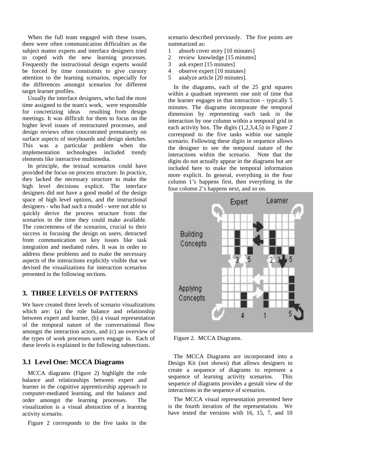When the full team engaged with these issues, there were often communication difficulties as the subject matter experts and interface designers tried to coped with the new learning processes. Frequently the instructional design experts would be forced by time constraints to give cursory attention to the learning scenarios, especially for the differences amongst scenarios for different target learner profiles.

Usually the interface designers, who had the most time assigned to the team's work, were responsible for concretizing ideas resulting from design meetings. It was difficult for them to focus on the higher level issues of restructured processes, and design reviews often concentrated prematurely on surface aspects of storyboards and design sketches. This was a particular problem when the implementation technologies included trendy elements like interactive multimedia.

In principle, the textual scenarios could have provided the focus on process structure. In practice, they lacked the necessary structure to make the high level decisions explicit. The interface designers did not have a good model of the design space of high level options, and the instructional designers - who had such a model - were not able to quickly derive the process structure from the scenarios in the time they could make available. The concreteness of the scenarios, crucial to their success in focusing the design on users, detracted from communication on key issues like task integration and mediated roles. It was in order to address these problems and to make the necessary aspects of the interactions explicitly visible that we devised the visualizations for interaction scenarios presented in the following sections.

#### **3. THREE LEVELS OF PATTERNS**

We have created three levels of scenario visualizations which are: (a) the role balance and relationship between expert and learner, (b) a visual representation of the temporal nature of the conversational flow amongst the interaction actors, and (c) an overview of the types of work processes users engage in. Each of these levels is explained in the following subsections.

#### **3.1 Level One: MCCA Diagrams**

MCCA diagrams (Figure 2) highlight the role balance and relationships between expert and learner in the cognitive apprenticeship approach to computer-mediated learning, and the balance and order amongst the learning processes. The visualization is a visual abstraction of a learning activity scenario.

Figure 2 corresponds to the five tasks in the

scenario described previously. The five points are summarized as:

- 1 absorb cover story [10 minutes]
- 2 review knowledge [15 minutes]
- 3 ask expert [15 minutes]
- 4 observe expert [10 minutes]
- 5 analyze article [20 minutes].

In the diagrams, each of the 25 grid squares within a quadrant represents one unit of time that the learner engages in that interaction – typically 5 minutes. The diagrams incorporate the temporal dimension by representing each task in the interaction by one column within a temporal grid in each activity box. The digits (1,2,3,4,5) in Figure 2 correspond to the five tasks within our sample scenario. Following these digits in sequence allows the designer to see the temporal nature of the interactions within the scenario. Note that the digits do not actually appear in the diagrams but are included here to make the temporal information more explicit. In general, everything in the four column 1's happens first, then everything in the four column 2's happens next, and so on.



Figure 2. MCCA Diagrams.

The MCCA Diagrams are incorporated into a Design Kit (not shown) that allows designers to create a sequence of diagrams to represent a sequence of learning activity scenarios. This sequence of diagrams provides a gestalt view of the interactions in the sequence of scenarios.

The MCCA visual representation presented here is the fourth iteration of the representation. We have tested the versions with 16, 15, 7, and 10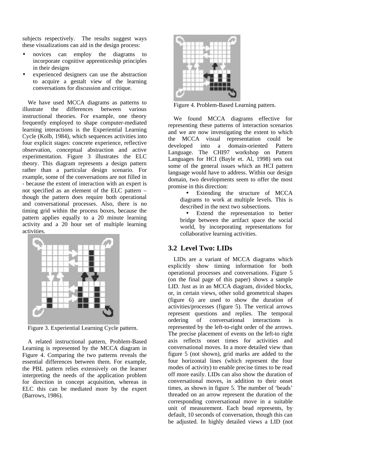subjects respectively. The results suggest ways these visualizations can aid in the design process:

- novices can employ the diagrams to incorporate cognitive apprenticeship principles in their designs
- experienced designers can use the abstraction to acquire a gestalt view of the learning conversations for discussion and critique.

We have used MCCA diagrams as patterns to illustrate the differences between various instructional theories. For example, one theory frequently employed to shape computer-mediated learning interactions is the Experiential Learning Cycle (Kolb, 1984), which sequences activities into four explicit stages: concrete experience, reflective observation, conceptual abstraction and active experimentation. Figure 3 illustrates the ELC theory. This diagram represents a design pattern rather than a particular design scenario. For example, some of the conversations are not filled in - because the extent of interaction with an expert is not specified as an element of the ELC pattern – though the pattern does require both operational and conversational processes. Also, there is no timing grid within the process boxes, because the pattern applies equally to a 20 minute learning activity and a 20 hour set of multiple learning activities.



Figure 3. Experiential Learning Cycle pattern.

A related instructional pattern, Problem-Based Learning is represented by the MCCA diagram in Figure 4. Comparing the two patterns reveals the essential differences between them. For example, the PBL pattern relies extensively on the learner interpreting the needs of the application problem for direction in concept acquisition, whereas in ELC this can be mediated more by the expert (Barrows, 1986).



Figure 4. Problem-Based Learning pattern.

We found MCCA diagrams effective for representing these patterns of interaction scenarios and we are now investigating the extent to which the MCCA visual representation could be developed into a domain-oriented Pattern Language. The CHI97 workshop on Pattern Languages for HCI (Bayle et. Al, 1998) sets out some of the general issues which an HCI pattern language would have to address. Within our design domain, two developments seem to offer the most promise in this direction:

Extending the structure of MCCA diagrams to work at multiple levels. This is described in the next two subsections.

• Extend the representation to better bridge between the artifact space the social world, by incorporating representations for collaborative learning activities.

#### **3.2 Level Two: LIDs**

LIDs are a variant of MCCA diagrams which explicitly show timing information for both operational processes and conversations. Figure 5 (on the final page of this paper) shows a sample LID. Just as in an MCCA diagram, divided blocks, or, in certain views, other solid geometrical shapes (figure 6) are used to show the duration of activities/processes (figure 5). The vertical arrows represent questions and replies. The temporal ordering of conversational interactions is represented by the left-to-right order of the arrows. The precise placement of events on the left-to right axis reflects onset times for activities and conversational moves. In a more detailed view than figure 5 (not shown), grid marks are added to the four horizontal lines (which represent the four modes of activity) to enable precise times to be read off more easily. LIDs can also show the duration of conversational moves, in addition to their onset times, as shown in figure 5. The number of 'beads' threaded on an arrow represent the duration of the corresponding conversational move in a suitable unit of measurement. Each bead represents, by default, 10 seconds of conversation, though this can be adjusted. In highly detailed views a LID (not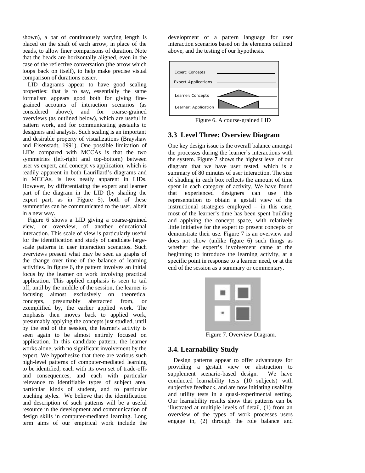shown), a bar of continuously varying length is placed on the shaft of each arrow, in place of the beads, to allow finer comparisons of duration. Note that the beads are horizontally aligned, even in the case of the reflective conversation (the arrow which loops back on itself), to help make precise visual comparison of durations easier.

LID diagrams appear to have good scaling properties: that is to say, essentially the same formalism appears good both for giving finegrained accounts of interaction scenarios (as considered above), and for coarse-grained overviews (as outlined below), which are useful in pattern work, and for communicating gestaults to designers and analysts. Such scaling is an important and desirable property of visualizations (Brayshaw and Eisenstadt, 1991). One possible limitation of LIDs compared with MCCAs is that the two symmetries (left-right and top-bottom) between user vs expert, and concept vs application, which is readily apparent in both Laurillard's diagrams and in MCCAs, is less neatly apparent in LIDs. However, by differentiating the expert and learner part of the diagram in the LID (by shading the expert part, as in Figure 5), both of these symmetries can be communicated to the user, albeit in a new way.

Figure 6 shows a LID giving a coarse-grained view, or overview, of another educational interaction. This scale of view is particularly useful for the identification and study of candidate largescale patterns in user interaction scenarios. Such overviews present what may be seen as graphs of the change over time of the balance of learning activities. In figure 6, the pattern involves an initial focus by the learner on work involving practical application. This applied emphasis is seen to tail off, until by the middle of the session, the learner is focusing almost exclusively on theoretical concepts, presumably abstracted from, or exemplified by, the earlier applied work. The emphasis then moves back to applied work, presumably applying the concepts just studied, until by the end of the session, the learner's activity is seen again to be almost entirely focused on application. In this candidate pattern, the learner works alone, with no significant involvement by the expert. We hypothesize that there are various such high-level patterns of computer-mediated learning to be identified, each with its own set of trade-offs and consequences, and each with particular relevance to identifiable types of subject area, particular kinds of student, and to particular teaching styles. We believe that the identification and description of such patterns will be a useful resource in the development and communication of design skills in computer-mediated learning. Long term aims of our empirical work include the

development of a pattern language for user interaction scenarios based on the elements outlined above, and the testing of our hypothesis.



Figure 6. A course-grained LID

#### **3.3 Level Three: Overview Diagram**

One key design issue is the overall balance amongst the processes during the learner's interactions with the system. Figure 7 shows the highest level of our diagram that we have user tested, which is a summary of 80 minutes of user interaction. The size of shading in each box reflects the amount of time spent in each category of activity. We have found that experienced designers can use this representation to obtain a gestalt view of the instructional strategies employed – in this case, most of the learner's time has been spent building and applying the concept space, with relatively little initiative for the expert to present concepts or demonstrate their use. Figure 7 is an overview and does not show (unlike figure 6) such things as whether the expert's involvement came at the beginning to introduce the learning activity, at a specific point in response to a learner need, or at the end of the session as a summary or commentary.

|    | ٠<br>l<br>٠<br>í.<br>٦<br>۰<br>m<br>٠ |
|----|---------------------------------------|
| N. |                                       |

Figure 7. Overview Diagram.

#### **3.4. Learnability Study**

Design patterns appear to offer advantages for providing a gestalt view or abstraction to supplement scenario-based design. We have conducted learnability tests (10 subjects) with subjective feedback, and are now initiating usability and utility tests in a quasi-experimental setting. Our learnability results show that patterns can be illustrated at multiple levels of detail, (1) from an overview of the types of work processes users engage in, (2) through the role balance and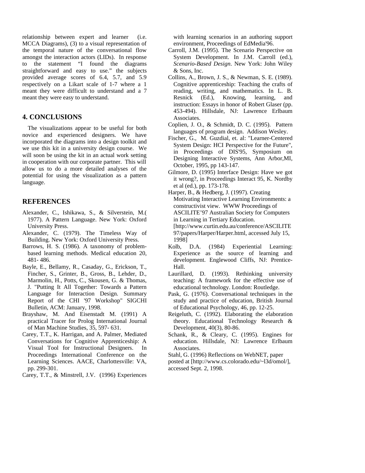relationship between expert and learner (i.e. MCCA Diagrams), (3) to a visual representation of the temporal nature of the conversational flow amongst the interaction actors (LIDs). In response to the statement "I found the diagrams straightforward and easy to use." the subjects provided average scores of 6.4, 5.7, and 5.9 respectively on a Likart scale of 1-7 where a 1 meant they were difficult to understand and a 7 meant they were easy to understand.

#### **4. CONCLUSIONS**

The visualizations appear to be useful for both novice and experienced designers. We have incorporated the diagrams into a design toolkit and we use this kit in a university design course. We will soon be using the kit in an actual work setting in cooperation with our corporate partner. This will allow us to do a more detailed analyses of the potential for using the visualization as a pattern language.

#### **REFERENCES**

- Alexander, C., Ishikawa, S., & Silverstein, M.( 1977). A Pattern Language. New York: Oxford University Press.
- Alexander, C. (1979). The Timeless Way of Building. New York: Oxford University Press.
- Barrows, H. S. (1986). A taxonomy of problembased learning methods. Medical education 20, 481- 486.
- Bayle, E., Bellamy, R., Casaday, G., Erickson, T., Fincher, S., Grinter, B., Gross, B., Lehder, D., Marmolin, H., Potts, C., Skousen, G. & Thomas, J. "Putting It All Together: Towards a Pattern Language for Interaction Design. Summary Report of the CHI '97 Workshop" SIGCHI Bulletin, ACM: January, 1998.
- Brayshaw, M. And Eisenstadt M. (1991) A practical Tracer for Prolog International Journal of Man Machine Studies, 35, 597- 631.
- Carey, T.T., K. Harrigan, and A. Palmer, Mediated Conversations for Cognitive Apprenticeship: A Visual Tool for Instructional Designers. In Proceedings International Conference on the Learning Sciences. AACE, Charlottesville: VA, pp. 299-301.
- Carey, T.T., & Minstrell, J.V. (1996) Experiences

with learning scenarios in an authoring support environment, Proceedings of EdMedia'96.

- Carroll, J.M. (1995). The Scenario Perspective on System Development. In J.M. Carroll (ed.), *Scenario-Based Design*. New York: John Wiley & Sons, Inc.
- Collins, A., Brown, J. S., & Newman, S. E. (1989). Cognitive apprenticeship: Teaching the crafts of reading, writing, and mathematics. In L. B. Resnick (Ed.), Knowing, learning, and instruction: Essays in honor of Robert Glaser (pp. 453-494). Hillsdale, NJ: Lawrence Erlbaum Associates.
- Coplien, J. O., & Schmidt, D. C. (1995). Pattern languages of program design. Addison Wesley.
- Fischer, G., M. Guzdial, et. al: "Learner-Centered System Design: HCI Perspective for the Future", in Proceedings of DIS'95, Symposium on Designing Interactive Systems, Ann Arbor,MI, October, 1995, pp 143-147.
- Gilmore, D. (1995) Interface Design: Have we got it wrong?, in Proceedings Interact 95, K. Nordby et al (ed.), pp. 173-178.
- Harper, B., & Hedberg, J. (1997). Creating Motivating Interactive Learning Environments: a constructivist view. WWW Proceedings of ASCILITE'97 Australian Society for Computers in Learning in Tertiary Education.
	- [http://www.curtin.edu.au/conference/ASCILITE 97/papers/Harper/Harper.html, accessed July 15, 1998]
- Kolb, D.A. (1984) Experiential Learning: Experience as the source of learning and development. Englewood Cliffs, NJ: Prentice-Hall.
- Laurillard, D. (1993). Rethinking university teaching: A framework for the effective use of educational technology. London: Routledge.
- Pask, G. (1976). Conversational techniques in the study and practice of education, British Journal of Educational Psychology, 46, pp. 12-25.
- Reigeluth, C. (1992). Elaborating the elaboration theory. Educational Technology Research & Development, 40(3), 80-86.
- Schank, R., & Cleary, C. (1995). Engines for education. Hillsdale, NJ: Lawrence Erlbaum Associates.
- Stahl, G. (1996) Reflections on WebNET, paper
- posted at [http://www.cs.colorado.edu/~l3d/omol/], accessed Sept. 2, 1998.